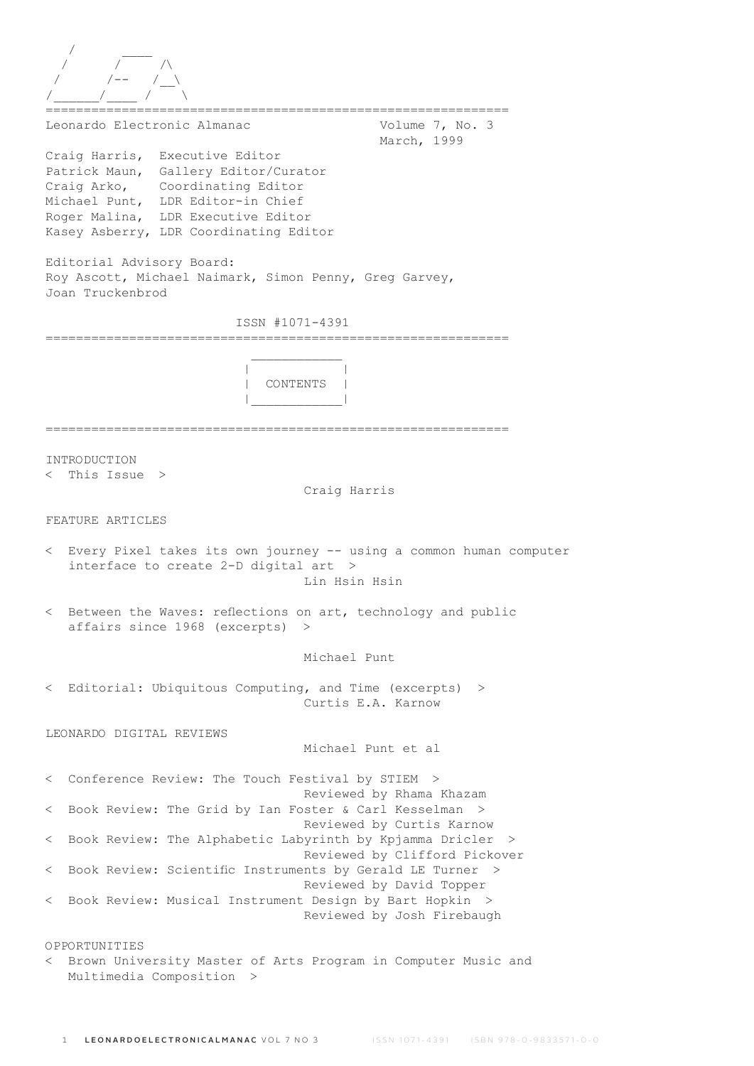| Leonardo Electronic Almanac                                                                                                                                                                                                    | Volume 7, No. 3<br>March, 1999                        |
|--------------------------------------------------------------------------------------------------------------------------------------------------------------------------------------------------------------------------------|-------------------------------------------------------|
| Craig Harris, Executive Editor<br>Patrick Maun, Gallery Editor/Curator<br>Craig Arko, Coordinating Editor<br>Michael Punt, LDR Editor-in Chief<br>Roger Malina, LDR Executive Editor<br>Kasey Asberry, LDR Coordinating Editor |                                                       |
| Editorial Advisory Board:<br>Roy Ascott, Michael Naimark, Simon Penny, Greg Garvey,<br>Joan Truckenbrod                                                                                                                        |                                                       |
| ISSN #1071-4391                                                                                                                                                                                                                |                                                       |
|                                                                                                                                                                                                                                |                                                       |
| CONTENTS                                                                                                                                                                                                                       |                                                       |
| INTRODUCTION<br>$\langle$ This Issue $\rangle$                                                                                                                                                                                 | Craig Harris                                          |
| FEATURE ARTICLES                                                                                                                                                                                                               |                                                       |
| < Every Pixel takes its own journey -- using a common human computer<br>interface to create 2-D digital art >                                                                                                                  | Lin Hsin Hsin                                         |
| Between the Waves: reflections on art, technology and public<br>affairs since 1968 (excerpts) >                                                                                                                                |                                                       |
|                                                                                                                                                                                                                                | Michael Punt                                          |
| < Editorial: Ubiquitous Computing, and Time (excerpts)                                                                                                                                                                         | $\rightarrow$<br>Curtis E.A. Karnow                   |
| LEONARDO DIGITAL REVIEWS                                                                                                                                                                                                       | Michael Punt et al                                    |
| < Conference Review: The Touch Festival by STIEM >                                                                                                                                                                             |                                                       |
| < Book Review: The Grid by Ian Foster & Carl Kesselman >                                                                                                                                                                       | Reviewed by Rhama Khazam<br>Reviewed by Curtis Karnow |
| < Book Review: The Alphabetic Labyrinth by Kpjamma Dricler                                                                                                                                                                     | - ><br>Reviewed by Clifford Pickover                  |
| < Book Review: Scientific Instruments by Gerald LE Turner >                                                                                                                                                                    | Reviewed by David Topper                              |
| < Book Review: Musical Instrument Design by Bart Hopkin >                                                                                                                                                                      | Reviewed by Josh Firebaugh                            |
| OPPORTUNITIES<br>Brown University Master of Arts Program in Computer Music and<br>$\lt$                                                                                                                                        |                                                       |

Multimedia Composition >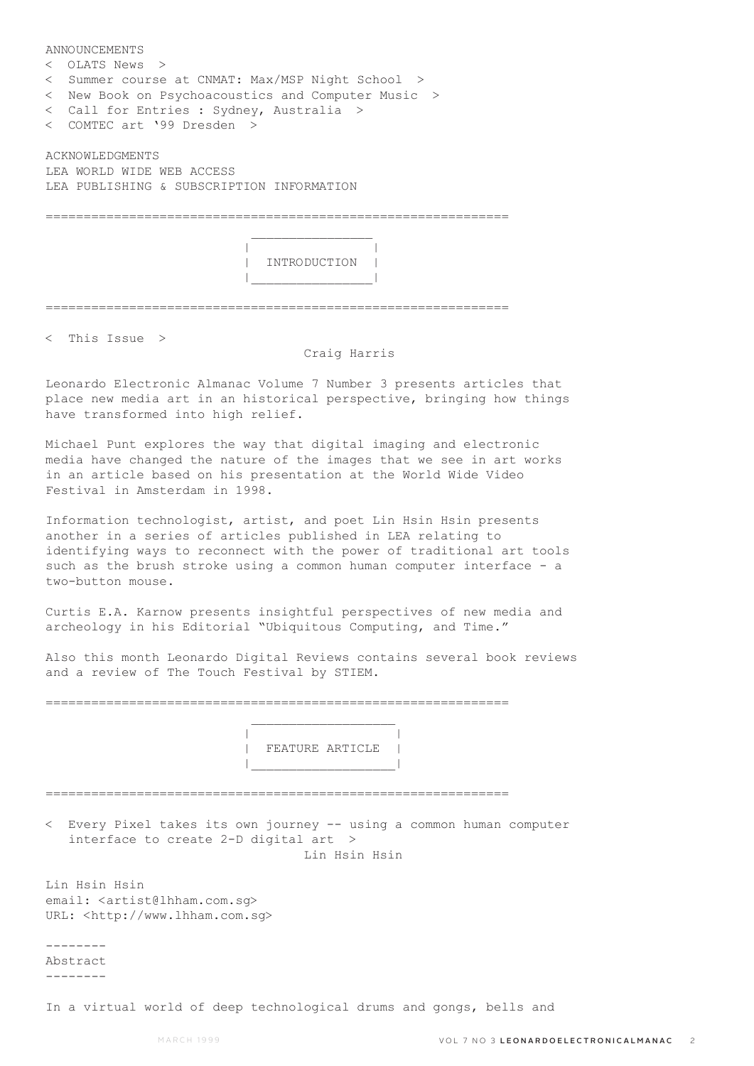ANNOUNCEMENTS < OLATS News > < Summer course at CNMAT: Max/MSP Night School > < New Book on Psychoacoustics and Computer Music > < Call for Entries : Sydney, Australia > < COMTEC art '99 Dresden > ACKNOWLEDGMENTS LEA WORLD WIDE WEB ACCESS LEA PUBLISHING & SUBSCRIPTION INFORMATION =============================================================  $\mathcal{L}_\text{max}$  and  $\mathcal{L}_\text{max}$  and  $\mathcal{L}_\text{max}$  and  $\mathcal{L}_\text{max}$  | | | INTRODUCTION |

=============================================================

|\_\_\_\_\_\_\_\_\_\_\_\_\_\_\_\_|

< This Issue >

## Craig Harris

Leonardo Electronic Almanac Volume 7 Number 3 presents articles that place new media art in an historical perspective, bringing how things have transformed into high relief.

Michael Punt explores the way that digital imaging and electronic media have changed the nature of the images that we see in art works in an article based on his presentation at the World Wide Video Festival in Amsterdam in 1998.

Information technologist, artist, and poet Lin Hsin Hsin presents another in a series of articles published in LEA relating to identifying ways to reconnect with the power of traditional art tools such as the brush stroke using a common human computer interface - a two-button mouse.

Curtis E.A. Karnow presents insightful perspectives of new media and archeology in his Editorial "Ubiquitous Computing, and Time."

Also this month Leonardo Digital Reviews contains several book reviews and a review of The Touch Festival by STIEM.

=============================================================

 $\mathcal{L}_\text{max}$  and  $\mathcal{L}_\text{max}$  are the set of  $\mathcal{L}_\text{max}$  . The set of  $\mathcal{L}_\text{max}$ 

 | | | FEATURE ARTICLE | |\_\_\_\_\_\_\_\_\_\_\_\_\_\_\_\_\_\_\_|

=============================================================

< Every Pixel takes its own journey -- using a common human computer interface to create 2-D digital art > Lin Hsin Hsin

Lin Hsin Hsin email: <artist@lhham.com.sg> URL: <http://www.lhham.com.sg>

-------- Abstract --------

In a virtual world of deep technological drums and gongs, bells and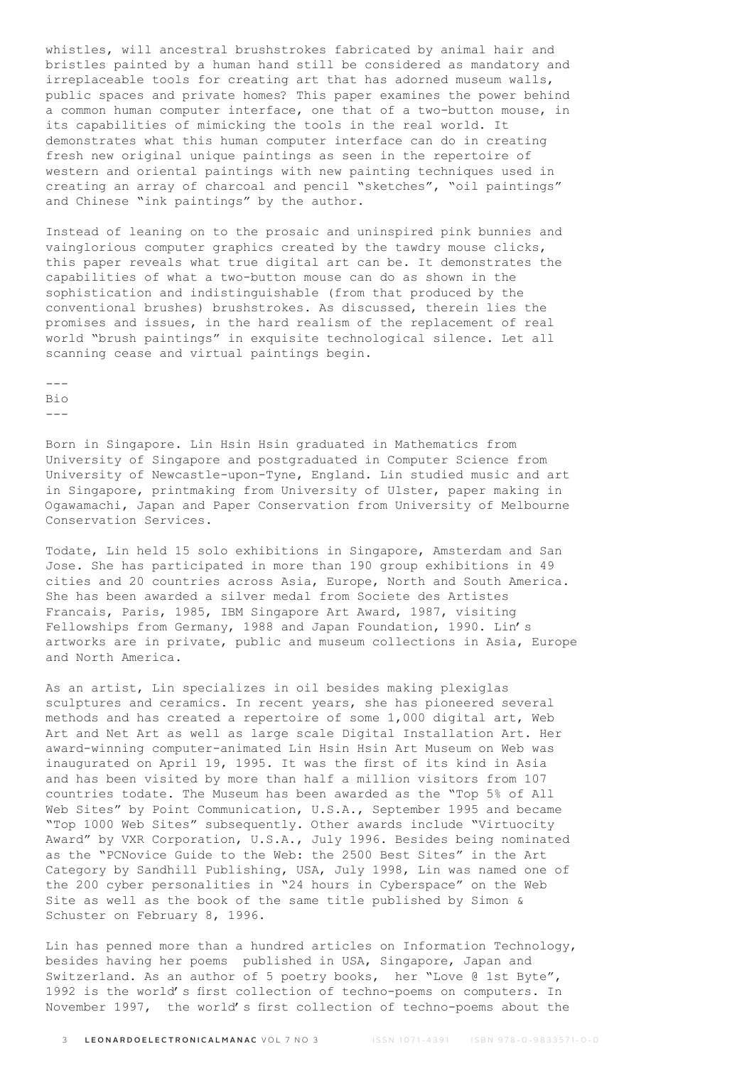whistles, will ancestral brushstrokes fabricated by animal hair and bristles painted by a human hand still be considered as mandatory and irreplaceable tools for creating art that has adorned museum walls, public spaces and private homes? This paper examines the power behind a common human computer interface, one that of a two-button mouse, in its capabilities of mimicking the tools in the real world. It demonstrates what this human computer interface can do in creating fresh new original unique paintings as seen in the repertoire of western and oriental paintings with new painting techniques used in creating an array of charcoal and pencil "sketches", "oil paintings" and Chinese "ink paintings" by the author.

Instead of leaning on to the prosaic and uninspired pink bunnies and vainglorious computer graphics created by the tawdry mouse clicks, this paper reveals what true digital art can be. It demonstrates the capabilities of what a two-button mouse can do as shown in the sophistication and indistinguishable (from that produced by the conventional brushes) brushstrokes. As discussed, therein lies the promises and issues, in the hard realism of the replacement of real world "brush paintings" in exquisite technological silence. Let all scanning cease and virtual paintings begin.

--- Bio ---

Born in Singapore. Lin Hsin Hsin graduated in Mathematics from University of Singapore and postgraduated in Computer Science from University of Newcastle-upon-Tyne, England. Lin studied music and art in Singapore, printmaking from University of Ulster, paper making in Ogawamachi, Japan and Paper Conservation from University of Melbourne Conservation Services.

Todate, Lin held 15 solo exhibitions in Singapore, Amsterdam and San Jose. She has participated in more than 190 group exhibitions in 49 cities and 20 countries across Asia, Europe, North and South America. She has been awarded a silver medal from Societe des Artistes Francais, Paris, 1985, IBM Singapore Art Award, 1987, visiting Fellowships from Germany, 1988 and Japan Foundation, 1990. Lin's artworks are in private, public and museum collections in Asia, Europe and North America.

As an artist, Lin specializes in oil besides making plexiglas sculptures and ceramics. In recent years, she has pioneered several methods and has created a repertoire of some 1,000 digital art, Web Art and Net Art as well as large scale Digital Installation Art. Her award-winning computer-animated Lin Hsin Hsin Art Museum on Web was inaugurated on April 19, 1995. It was the first of its kind in Asia and has been visited by more than half a million visitors from 107 countries todate. The Museum has been awarded as the "Top 5% of All Web Sites" by Point Communication, U.S.A., September 1995 and became "Top 1000 Web Sites" subsequently. Other awards include "Virtuocity Award" by VXR Corporation, U.S.A., July 1996. Besides being nominated as the "PCNovice Guide to the Web: the 2500 Best Sites" in the Art Category by Sandhill Publishing, USA, July 1998, Lin was named one of the 200 cyber personalities in "24 hours in Cyberspace" on the Web Site as well as the book of the same title published by Simon & Schuster on February 8, 1996.

Lin has penned more than a hundred articles on Information Technology, besides having her poems published in USA, Singapore, Japan and Switzerland. As an author of 5 poetry books, her "Love @ 1st Byte", 1992 is the world's first collection of techno-poems on computers. In November 1997, the world's first collection of techno-poems about the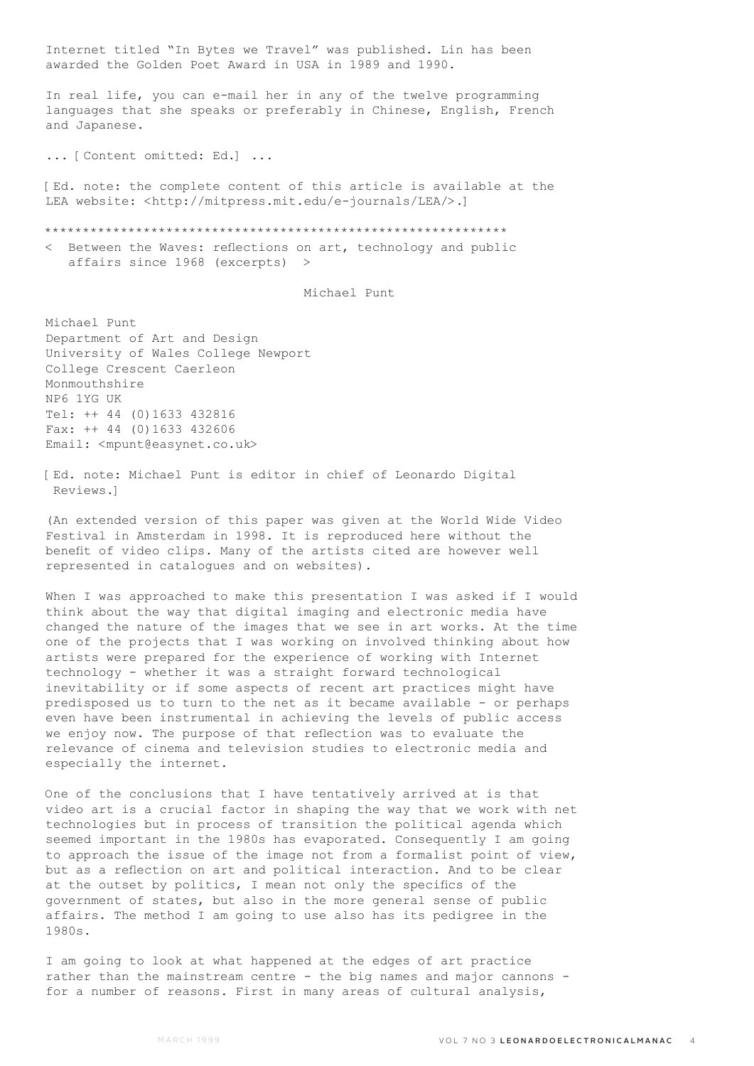Internet titled "In Bytes we Travel" was published. Lin has been awarded the Golden Poet Award in USA in 1989 and 1990.

In real life, you can e-mail her in any of the twelve programming languages that she speaks or preferably in Chinese, English, French and Japanese.

... [Content omitted: Ed.] ...

[Ed. note: the complete content of this article is available at the LEA website: <http://mitpress.mit.edu/e-journals/LEA/>.]

\*\*\*\*\*\*\*\*\*\*\*\*\*\*\*\*\*\*\*\*\*\*\*\*\*\*\*\*\*\*\*\*\*\*\*\*\*\*\*\*\*\*\*\*\*\*\*\*\*\*\*\*\*\*\*\*\*\*\*\*\*

< Between the Waves: reflections on art, technology and public affairs since 1968 (excerpts) >

Michael Punt

Michael Punt Department of Art and Design University of Wales College Newport College Crescent Caerleon Monmouthshire NP6 1YG UK Tel: ++ 44 (0)1633 432816 Fax: ++ 44 (0)1633 432606 Email: <mpunt@easynet.co.uk>

[Ed. note: Michael Punt is editor in chief of Leonardo Digital Reviews.]

(An extended version of this paper was given at the World Wide Video Festival in Amsterdam in 1998. It is reproduced here without the benefit of video clips. Many of the artists cited are however well represented in catalogues and on websites).

When I was approached to make this presentation I was asked if I would think about the way that digital imaging and electronic media have changed the nature of the images that we see in art works. At the time one of the projects that I was working on involved thinking about how artists were prepared for the experience of working with Internet technology - whether it was a straight forward technological inevitability or if some aspects of recent art practices might have predisposed us to turn to the net as it became available - or perhaps even have been instrumental in achieving the levels of public access we enjoy now. The purpose of that reflection was to evaluate the relevance of cinema and television studies to electronic media and especially the internet.

One of the conclusions that I have tentatively arrived at is that video art is a crucial factor in shaping the way that we work with net technologies but in process of transition the political agenda which seemed important in the 1980s has evaporated. Consequently I am going to approach the issue of the image not from a formalist point of view, but as a reflection on art and political interaction. And to be clear at the outset by politics, I mean not only the specifics of the government of states, but also in the more general sense of public affairs. The method I am going to use also has its pedigree in the 1980s.

I am going to look at what happened at the edges of art practice rather than the mainstream centre - the big names and major cannons for a number of reasons. First in many areas of cultural analysis,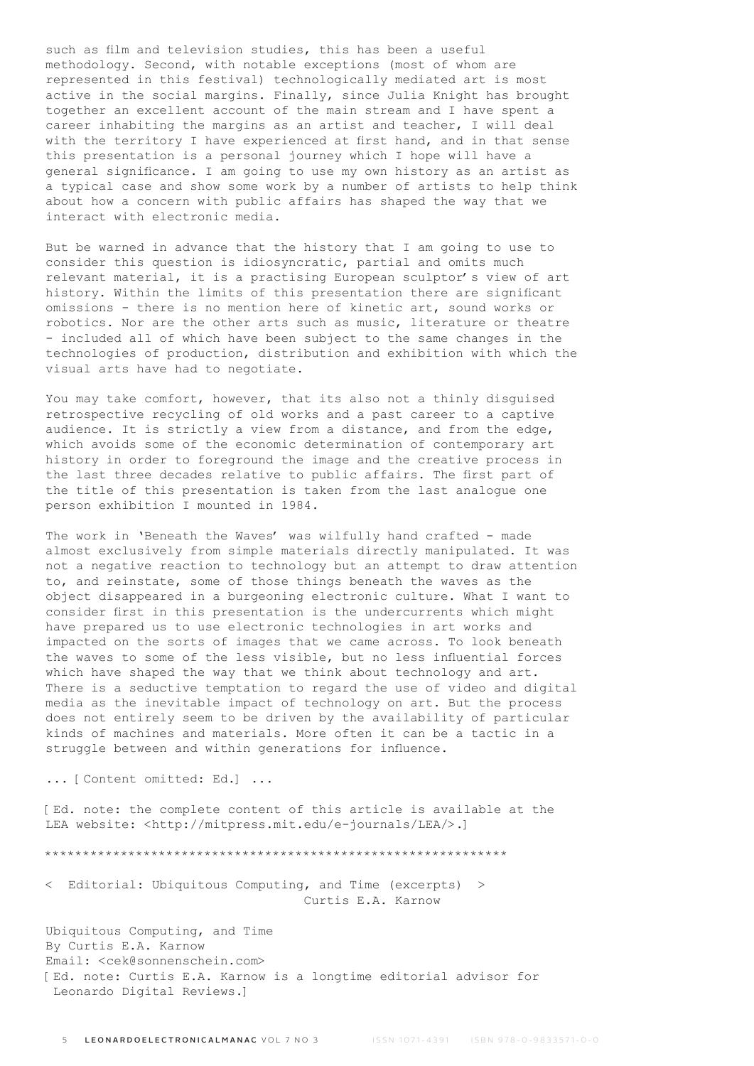such as film and television studies, this has been a useful methodology. Second, with notable exceptions (most of whom are represented in this festival) technologically mediated art is most active in the social margins. Finally, since Julia Knight has brought together an excellent account of the main stream and I have spent a career inhabiting the margins as an artist and teacher, I will deal with the territory I have experienced at first hand, and in that sense this presentation is a personal journey which I hope will have a general significance. I am going to use my own history as an artist as a typical case and show some work by a number of artists to help think about how a concern with public affairs has shaped the way that we interact with electronic media.

But be warned in advance that the history that I am going to use to consider this question is idiosyncratic, partial and omits much relevant material, it is a practising European sculptor's view of art history. Within the limits of this presentation there are significant omissions - there is no mention here of kinetic art, sound works or robotics. Nor are the other arts such as music, literature or theatre - included all of which have been subject to the same changes in the technologies of production, distribution and exhibition with which the visual arts have had to negotiate.

You may take comfort, however, that its also not a thinly disguised retrospective recycling of old works and a past career to a captive audience. It is strictly a view from a distance, and from the edge, which avoids some of the economic determination of contemporary art history in order to foreground the image and the creative process in the last three decades relative to public affairs. The first part of the title of this presentation is taken from the last analogue one person exhibition I mounted in 1984.

The work in 'Beneath the Waves' was wilfully hand crafted - made almost exclusively from simple materials directly manipulated. It was not a negative reaction to technology but an attempt to draw attention to, and reinstate, some of those things beneath the waves as the object disappeared in a burgeoning electronic culture. What I want to consider first in this presentation is the undercurrents which might have prepared us to use electronic technologies in art works and impacted on the sorts of images that we came across. To look beneath the waves to some of the less visible, but no less influential forces which have shaped the way that we think about technology and art. There is a seductive temptation to regard the use of video and digital media as the inevitable impact of technology on art. But the process does not entirely seem to be driven by the availability of particular kinds of machines and materials. More often it can be a tactic in a struggle between and within generations for influence.

... [Content omitted: Ed.] ...

[Ed. note: the complete content of this article is available at the LEA website: <http://mitpress.mit.edu/e-journals/LEA/>.]

\*\*\*\*\*\*\*\*\*\*\*\*\*\*\*\*\*\*\*\*\*\*\*\*\*\*\*\*\*\*\*\*\*\*\*\*\*\*\*\*\*\*\*\*\*\*\*\*\*\*\*\*\*\*\*\*\*\*\*\*\*

< Editorial: Ubiquitous Computing, and Time (excerpts) > Curtis E.A. Karnow

Ubiquitous Computing, and Time By Curtis E.A. Karnow Email: <cek@sonnenschein.com> [Ed. note: Curtis E.A. Karnow is a longtime editorial advisor for Leonardo Digital Reviews.]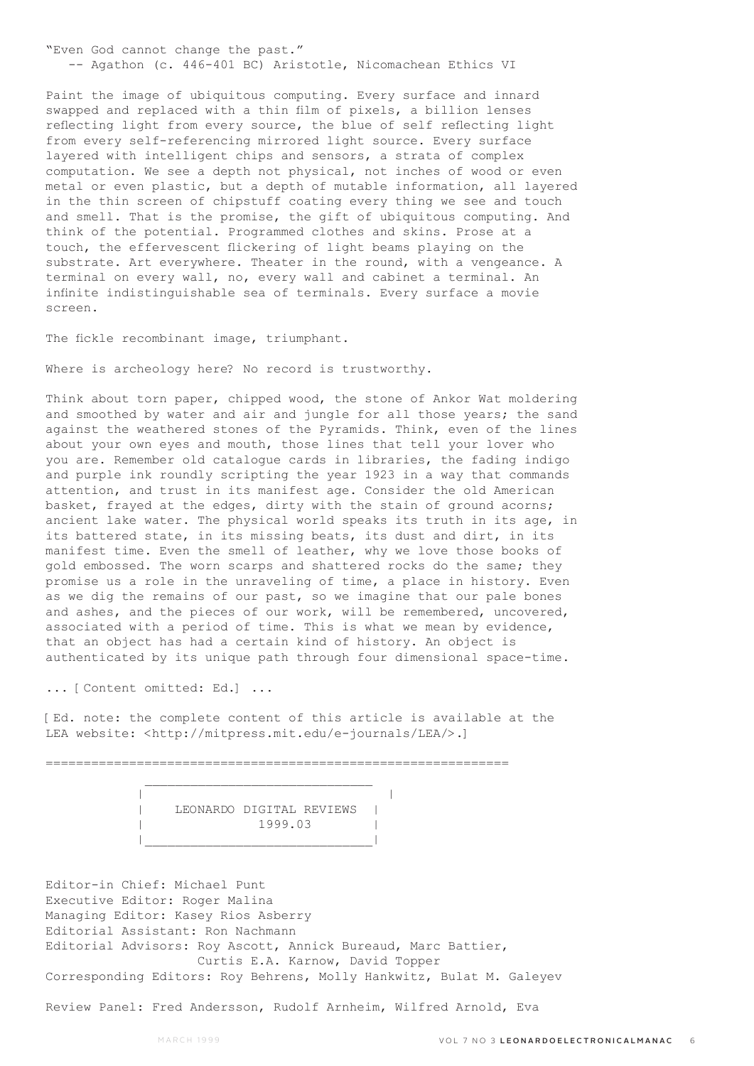"Even God cannot change the past." -- Agathon (c. 446-401 BC) Aristotle, Nicomachean Ethics VI

Paint the image of ubiquitous computing. Every surface and innard swapped and replaced with a thin film of pixels, a billion lenses reflecting light from every source, the blue of self reflecting light from every self-referencing mirrored light source. Every surface layered with intelligent chips and sensors, a strata of complex computation. We see a depth not physical, not inches of wood or even metal or even plastic, but a depth of mutable information, all layered in the thin screen of chipstuff coating every thing we see and touch and smell. That is the promise, the gift of ubiquitous computing. And think of the potential. Programmed clothes and skins. Prose at a touch, the effervescent flickering of light beams playing on the substrate. Art everywhere. Theater in the round, with a vengeance. A terminal on every wall, no, every wall and cabinet a terminal. An infinite indistinguishable sea of terminals. Every surface a movie screen.

The fickle recombinant image, triumphant.

Where is archeology here? No record is trustworthy.

Think about torn paper, chipped wood, the stone of Ankor Wat moldering and smoothed by water and air and jungle for all those years; the sand against the weathered stones of the Pyramids. Think, even of the lines about your own eyes and mouth, those lines that tell your lover who you are. Remember old catalogue cards in libraries, the fading indigo and purple ink roundly scripting the year 1923 in a way that commands attention, and trust in its manifest age. Consider the old American basket, frayed at the edges, dirty with the stain of ground acorns; ancient lake water. The physical world speaks its truth in its age, in its battered state, in its missing beats, its dust and dirt, in its manifest time. Even the smell of leather, why we love those books of gold embossed. The worn scarps and shattered rocks do the same; they promise us a role in the unraveling of time, a place in history. Even as we dig the remains of our past, so we imagine that our pale bones and ashes, and the pieces of our work, will be remembered, uncovered, associated with a period of time. This is what we mean by evidence, that an object has had a certain kind of history. An object is authenticated by its unique path through four dimensional space-time.

... [Content omitted: Ed.] ...

[Ed. note: the complete content of this article is available at the LEA website: <http://mitpress.mit.edu/e-journals/LEA/>.]

=============================================================

 | | | LEONARDO DIGITAL REVIEWS | | 1999.03 | |\_\_\_\_\_\_\_\_\_\_\_\_\_\_\_\_\_\_\_\_\_\_\_\_\_\_\_\_\_\_|

Editor-in Chief: Michael Punt Executive Editor: Roger Malina Managing Editor: Kasey Rios Asberry Editorial Assistant: Ron Nachmann Editorial Advisors: Roy Ascott, Annick Bureaud, Marc Battier, Curtis E.A. Karnow, David Topper Corresponding Editors: Roy Behrens, Molly Hankwitz, Bulat M. Galeyev

Review Panel: Fred Andersson, Rudolf Arnheim, Wilfred Arnold, Eva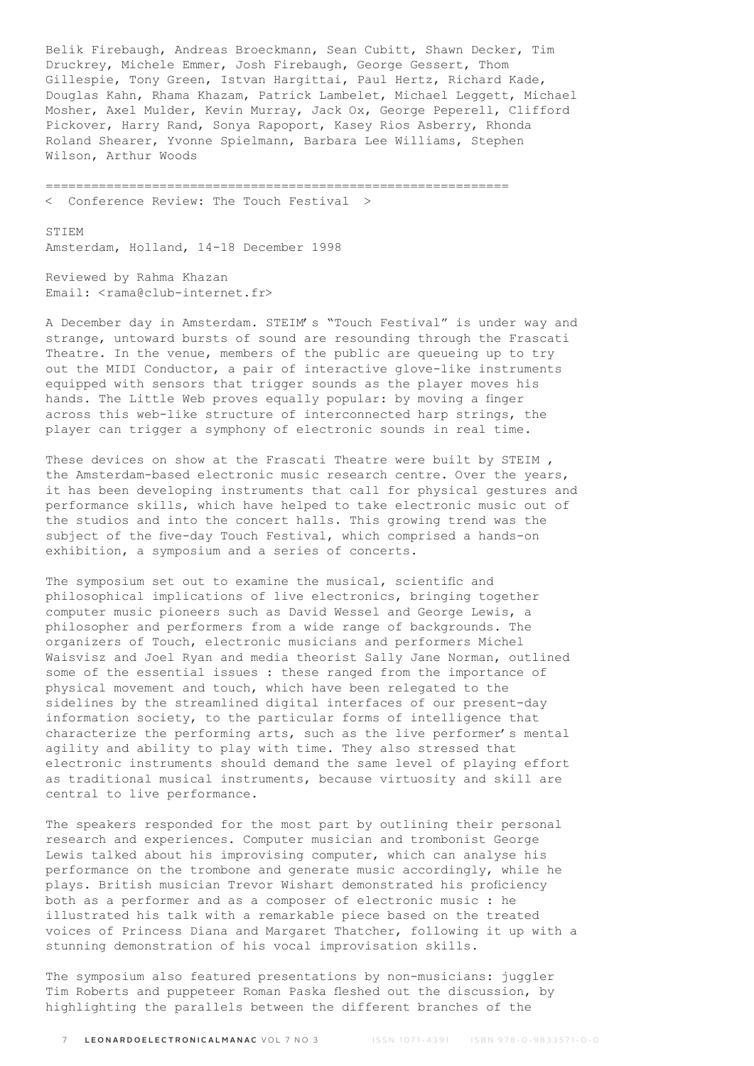Belik Firebaugh, Andreas Broeckmann, Sean Cubitt, Shawn Decker, Tim Druckrey, Michele Emmer, Josh Firebaugh, George Gessert, Thom Gillespie, Tony Green, Istvan Hargittai, Paul Hertz, Richard Kade, Douglas Kahn, Rhama Khazam, Patrick Lambelet, Michael Leggett, Michael Mosher, Axel Mulder, Kevin Murray, Jack Ox, George Peperell, Clifford Pickover, Harry Rand, Sonya Rapoport, Kasey Rios Asberry, Rhonda Roland Shearer, Yvonne Spielmann, Barbara Lee Williams, Stephen Wilson, Arthur Woods

=============================================================

< Conference Review: The Touch Festival >

**STIEM** Amsterdam, Holland, 14-18 December 1998

Reviewed by Rahma Khazan Email: <rama@club-internet.fr>

A December day in Amsterdam. STEIM's "Touch Festival" is under way and strange, untoward bursts of sound are resounding through the Frascati Theatre. In the venue, members of the public are queueing up to try out the MIDI Conductor, a pair of interactive glove-like instruments equipped with sensors that trigger sounds as the player moves his hands. The Little Web proves equally popular: by moving a finger across this web-like structure of interconnected harp strings, the player can trigger a symphony of electronic sounds in real time.

These devices on show at the Frascati Theatre were built by STEIM , the Amsterdam-based electronic music research centre. Over the years, it has been developing instruments that call for physical gestures and performance skills, which have helped to take electronic music out of the studios and into the concert halls. This growing trend was the subject of the five-day Touch Festival, which comprised a hands-on exhibition, a symposium and a series of concerts.

The symposium set out to examine the musical, scientific and philosophical implications of live electronics, bringing together computer music pioneers such as David Wessel and George Lewis, a philosopher and performers from a wide range of backgrounds. The organizers of Touch, electronic musicians and performers Michel Waisvisz and Joel Ryan and media theorist Sally Jane Norman, outlined some of the essential issues : these ranged from the importance of physical movement and touch, which have been relegated to the sidelines by the streamlined digital interfaces of our present-day information society, to the particular forms of intelligence that characterize the performing arts, such as the live performer's mental agility and ability to play with time. They also stressed that electronic instruments should demand the same level of playing effort as traditional musical instruments, because virtuosity and skill are central to live performance.

The speakers responded for the most part by outlining their personal research and experiences. Computer musician and trombonist George Lewis talked about his improvising computer, which can analyse his performance on the trombone and generate music accordingly, while he plays. British musician Trevor Wishart demonstrated his proficiency both as a performer and as a composer of electronic music : he illustrated his talk with a remarkable piece based on the treated voices of Princess Diana and Margaret Thatcher, following it up with a stunning demonstration of his vocal improvisation skills.

The symposium also featured presentations by non-musicians: juggler Tim Roberts and puppeteer Roman Paska fleshed out the discussion, by highlighting the parallels between the different branches of the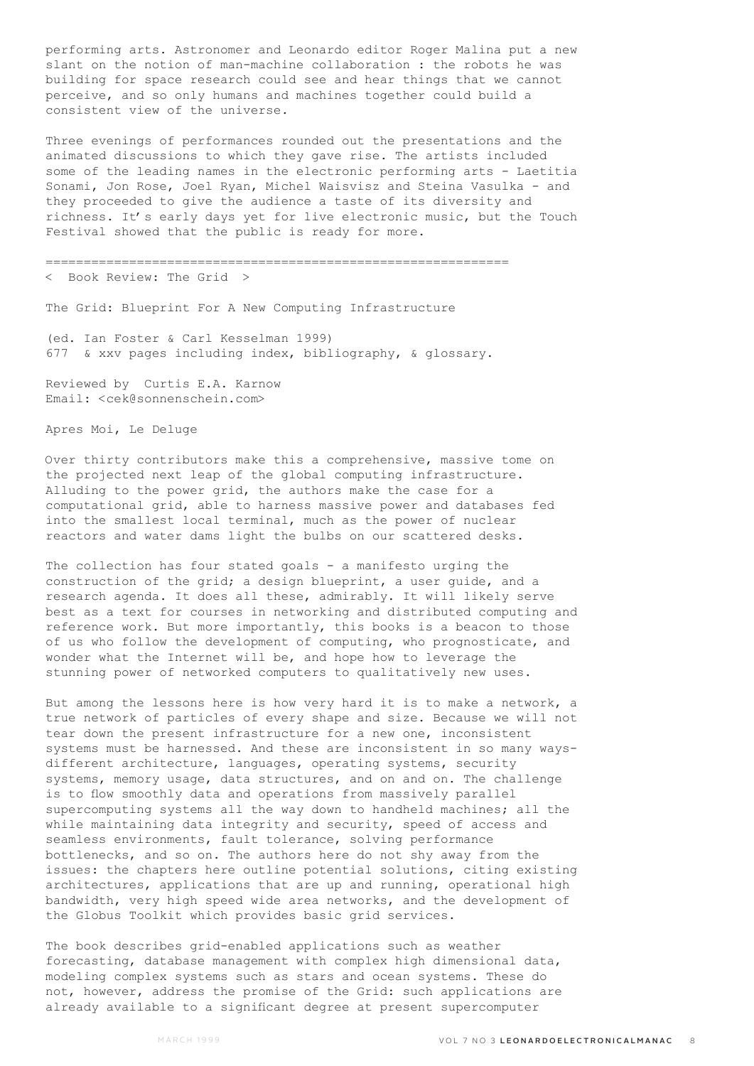performing arts. Astronomer and Leonardo editor Roger Malina put a new slant on the notion of man-machine collaboration : the robots he was building for space research could see and hear things that we cannot perceive, and so only humans and machines together could build a consistent view of the universe.

Three evenings of performances rounded out the presentations and the animated discussions to which they gave rise. The artists included some of the leading names in the electronic performing arts - Laetitia Sonami, Jon Rose, Joel Ryan, Michel Waisvisz and Steina Vasulka - and they proceeded to give the audience a taste of its diversity and richness. It's early days yet for live electronic music, but the Touch Festival showed that the public is ready for more.

=============================================================

< Book Review: The Grid >

The Grid: Blueprint For A New Computing Infrastructure

(ed. Ian Foster & Carl Kesselman 1999) 677 & xxv pages including index, bibliography, & glossary.

Reviewed by Curtis E.A. Karnow Email: <cek@sonnenschein.com>

Apres Moi, Le Deluge

Over thirty contributors make this a comprehensive, massive tome on the projected next leap of the global computing infrastructure. Alluding to the power grid, the authors make the case for a computational grid, able to harness massive power and databases fed into the smallest local terminal, much as the power of nuclear reactors and water dams light the bulbs on our scattered desks.

The collection has four stated goals - a manifesto urging the construction of the grid; a design blueprint, a user guide, and a research agenda. It does all these, admirably. It will likely serve best as a text for courses in networking and distributed computing and reference work. But more importantly, this books is a beacon to those of us who follow the development of computing, who prognosticate, and wonder what the Internet will be, and hope how to leverage the stunning power of networked computers to qualitatively new uses.

But among the lessons here is how very hard it is to make a network, a true network of particles of every shape and size. Because we will not tear down the present infrastructure for a new one, inconsistent systems must be harnessed. And these are inconsistent in so many waysdifferent architecture, languages, operating systems, security systems, memory usage, data structures, and on and on. The challenge is to flow smoothly data and operations from massively parallel supercomputing systems all the way down to handheld machines; all the while maintaining data integrity and security, speed of access and seamless environments, fault tolerance, solving performance bottlenecks, and so on. The authors here do not shy away from the issues: the chapters here outline potential solutions, citing existing architectures, applications that are up and running, operational high bandwidth, very high speed wide area networks, and the development of the Globus Toolkit which provides basic grid services.

The book describes grid-enabled applications such as weather forecasting, database management with complex high dimensional data, modeling complex systems such as stars and ocean systems. These do not, however, address the promise of the Grid: such applications are already available to a significant degree at present supercomputer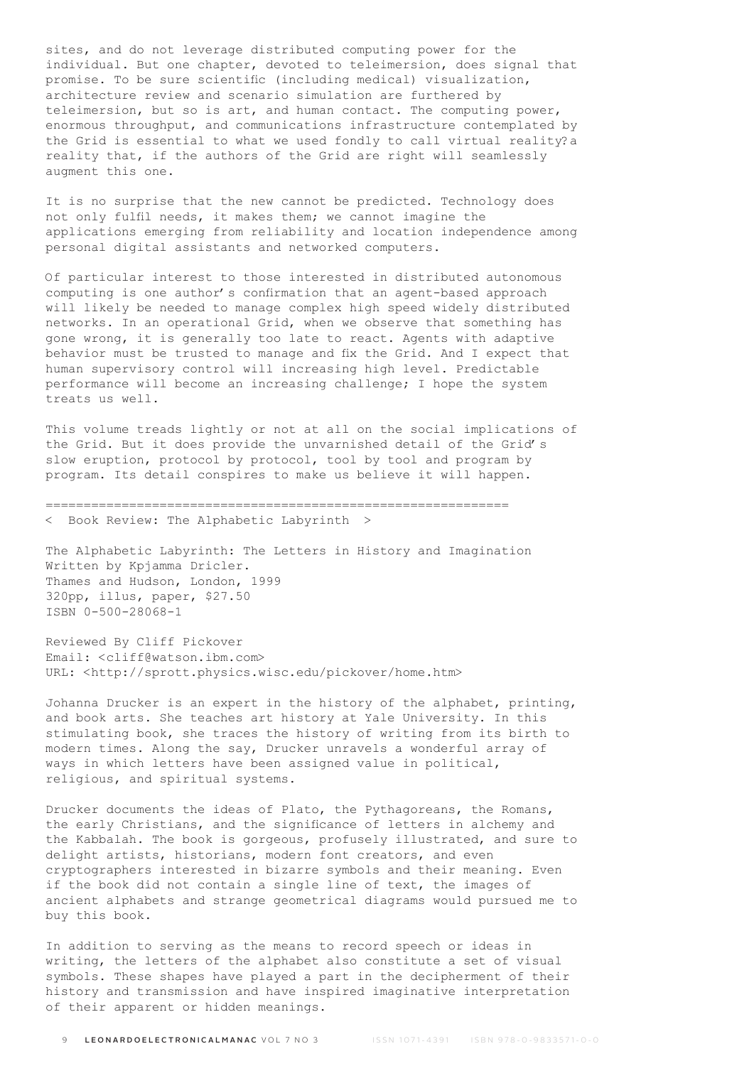sites, and do not leverage distributed computing power for the individual. But one chapter, devoted to teleimersion, does signal that promise. To be sure scientific (including medical) visualization, architecture review and scenario simulation are furthered by teleimersion, but so is art, and human contact. The computing power, enormous throughput, and communications infrastructure contemplated by the Grid is essential to what we used fondly to call virtual reality?a reality that, if the authors of the Grid are right will seamlessly augment this one.

It is no surprise that the new cannot be predicted. Technology does not only fulfil needs, it makes them; we cannot imagine the applications emerging from reliability and location independence among personal digital assistants and networked computers.

Of particular interest to those interested in distributed autonomous computing is one author's confirmation that an agent-based approach will likely be needed to manage complex high speed widely distributed networks. In an operational Grid, when we observe that something has gone wrong, it is generally too late to react. Agents with adaptive behavior must be trusted to manage and fix the Grid. And I expect that human supervisory control will increasing high level. Predictable performance will become an increasing challenge; I hope the system treats us well.

This volume treads lightly or not at all on the social implications of the Grid. But it does provide the unvarnished detail of the Grid's slow eruption, protocol by protocol, tool by tool and program by program. Its detail conspires to make us believe it will happen.

## =============================================================

< Book Review: The Alphabetic Labyrinth >

The Alphabetic Labyrinth: The Letters in History and Imagination Written by Kpjamma Dricler. Thames and Hudson, London, 1999 320pp, illus, paper, \$27.50 ISBN 0-500-28068-1

Reviewed By Cliff Pickover Email: <cliff@watson.ibm.com> URL: <http://sprott.physics.wisc.edu/pickover/home.htm>

Johanna Drucker is an expert in the history of the alphabet, printing, and book arts. She teaches art history at Yale University. In this stimulating book, she traces the history of writing from its birth to modern times. Along the say, Drucker unravels a wonderful array of ways in which letters have been assigned value in political, religious, and spiritual systems.

Drucker documents the ideas of Plato, the Pythagoreans, the Romans, the early Christians, and the significance of letters in alchemy and the Kabbalah. The book is gorgeous, profusely illustrated, and sure to delight artists, historians, modern font creators, and even cryptographers interested in bizarre symbols and their meaning. Even if the book did not contain a single line of text, the images of ancient alphabets and strange geometrical diagrams would pursued me to buy this book.

In addition to serving as the means to record speech or ideas in writing, the letters of the alphabet also constitute a set of visual symbols. These shapes have played a part in the decipherment of their history and transmission and have inspired imaginative interpretation of their apparent or hidden meanings.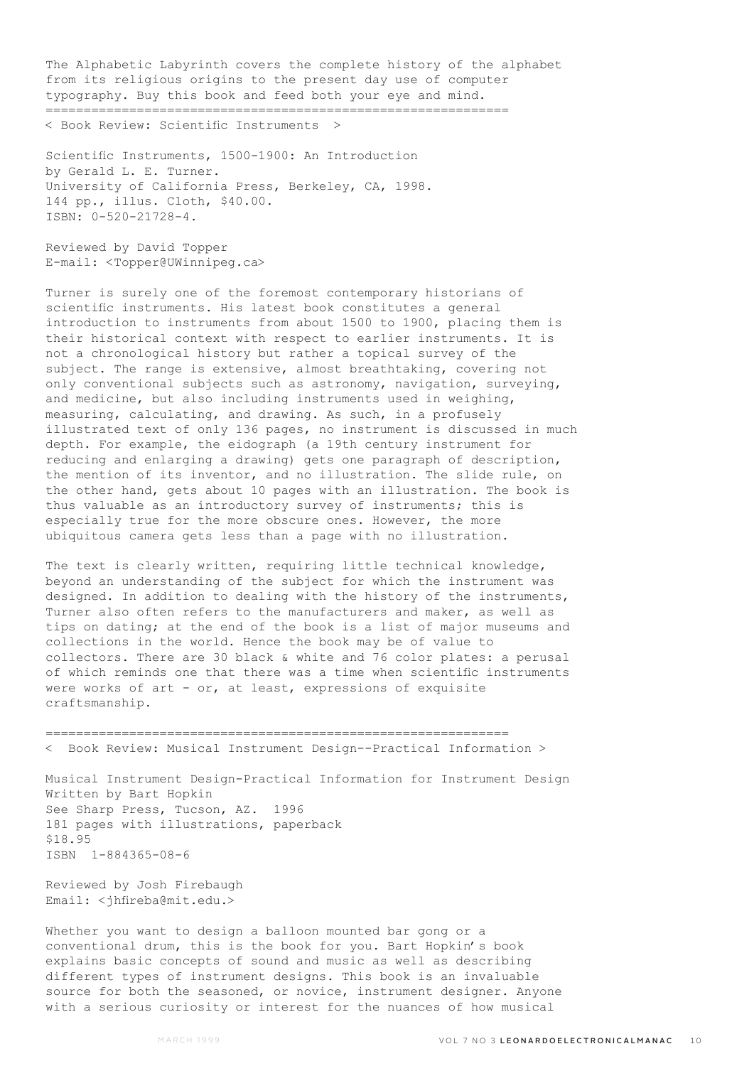The Alphabetic Labyrinth covers the complete history of the alphabet from its religious origins to the present day use of computer typography. Buy this book and feed both your eye and mind. =============================================================

< Book Review: Scientific Instruments >

Scientific Instruments, 1500-1900: An Introduction by Gerald L. E. Turner. University of California Press, Berkeley, CA, 1998. 144 pp., illus. Cloth, \$40.00. ISBN: 0-520-21728-4.

Reviewed by David Topper E-mail: <Topper@UWinnipeg.ca>

Turner is surely one of the foremost contemporary historians of scientific instruments. His latest book constitutes a general introduction to instruments from about 1500 to 1900, placing them is their historical context with respect to earlier instruments. It is not a chronological history but rather a topical survey of the subject. The range is extensive, almost breathtaking, covering not only conventional subjects such as astronomy, navigation, surveying, and medicine, but also including instruments used in weighing, measuring, calculating, and drawing. As such, in a profusely illustrated text of only 136 pages, no instrument is discussed in much depth. For example, the eidograph (a 19th century instrument for reducing and enlarging a drawing) gets one paragraph of description, the mention of its inventor, and no illustration. The slide rule, on the other hand, gets about 10 pages with an illustration. The book is thus valuable as an introductory survey of instruments; this is especially true for the more obscure ones. However, the more ubiquitous camera gets less than a page with no illustration.

The text is clearly written, requiring little technical knowledge, beyond an understanding of the subject for which the instrument was designed. In addition to dealing with the history of the instruments, Turner also often refers to the manufacturers and maker, as well as tips on dating; at the end of the book is a list of major museums and collections in the world. Hence the book may be of value to collectors. There are 30 black & white and 76 color plates: a perusal of which reminds one that there was a time when scientific instruments were works of art - or, at least, expressions of exquisite craftsmanship.

============================================================= < Book Review: Musical Instrument Design--Practical Information >

Musical Instrument Design-Practical Information for Instrument Design Written by Bart Hopkin See Sharp Press, Tucson, AZ. 1996 181 pages with illustrations, paperback \$18.95 ISBN 1-884365-08-6

Reviewed by Josh Firebaugh Email: <jhfireba@mit.edu.>

Whether you want to design a balloon mounted bar gong or a conventional drum, this is the book for you. Bart Hopkin's book explains basic concepts of sound and music as well as describing different types of instrument designs. This book is an invaluable source for both the seasoned, or novice, instrument designer. Anyone with a serious curiosity or interest for the nuances of how musical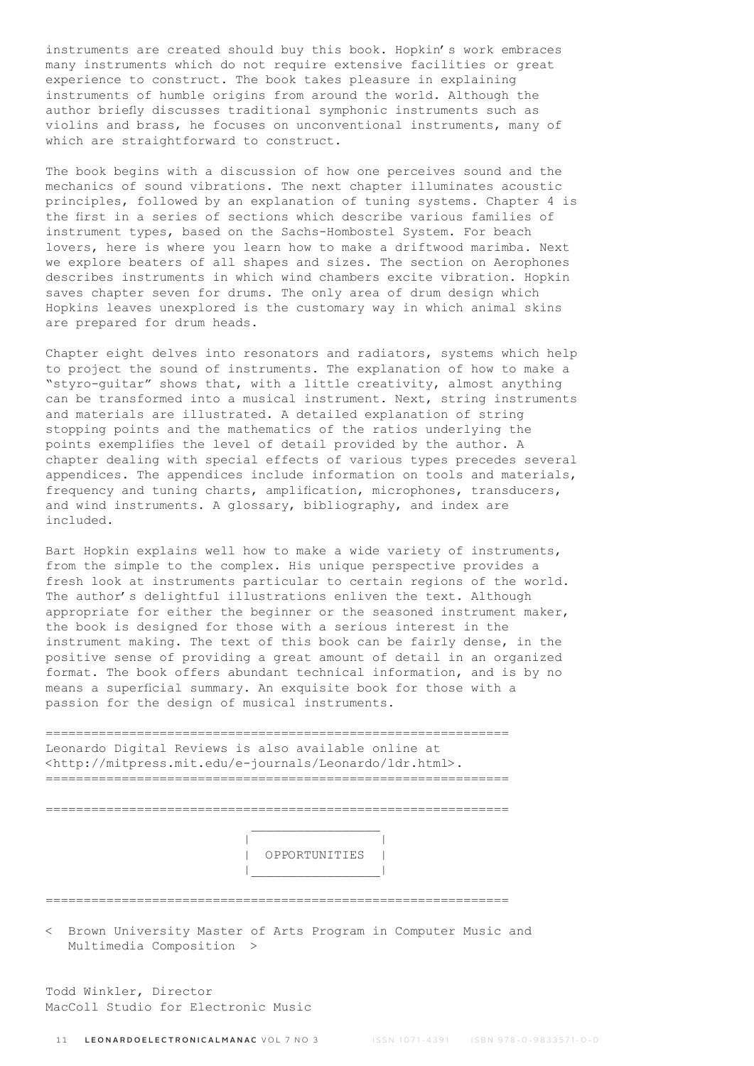instruments are created should buy this book. Hopkin's work embraces many instruments which do not require extensive facilities or great experience to construct. The book takes pleasure in explaining instruments of humble origins from around the world. Although the author briefly discusses traditional symphonic instruments such as violins and brass, he focuses on unconventional instruments, many of which are straightforward to construct.

The book begins with a discussion of how one perceives sound and the mechanics of sound vibrations. The next chapter illuminates acoustic principles, followed by an explanation of tuning systems. Chapter 4 is the first in a series of sections which describe various families of instrument types, based on the Sachs-Hombostel System. For beach lovers, here is where you learn how to make a driftwood marimba. Next we explore beaters of all shapes and sizes. The section on Aerophones describes instruments in which wind chambers excite vibration. Hopkin saves chapter seven for drums. The only area of drum design which Hopkins leaves unexplored is the customary way in which animal skins are prepared for drum heads.

Chapter eight delves into resonators and radiators, systems which help to project the sound of instruments. The explanation of how to make a "styro-guitar" shows that, with a little creativity, almost anything can be transformed into a musical instrument. Next, string instruments and materials are illustrated. A detailed explanation of string stopping points and the mathematics of the ratios underlying the points exemplifies the level of detail provided by the author. A chapter dealing with special effects of various types precedes several appendices. The appendices include information on tools and materials, frequency and tuning charts, amplification, microphones, transducers, and wind instruments. A glossary, bibliography, and index are included.

Bart Hopkin explains well how to make a wide variety of instruments, from the simple to the complex. His unique perspective provides a fresh look at instruments particular to certain regions of the world. The author's delightful illustrations enliven the text. Although appropriate for either the beginner or the seasoned instrument maker, the book is designed for those with a serious interest in the instrument making. The text of this book can be fairly dense, in the positive sense of providing a great amount of detail in an organized format. The book offers abundant technical information, and is by no means a superficial summary. An exquisite book for those with a passion for the design of musical instruments.

============================================================= Leonardo Digital Reviews is also available online at <http://mitpress.mit.edu/e-journals/Leonardo/ldr.html>. =============================================================

=============================================================

 | | | OPPORTUNITIES | |\_\_\_\_\_\_\_\_\_\_\_\_\_\_\_\_\_|

=============================================================

< Brown University Master of Arts Program in Computer Music and Multimedia Composition >

Todd Winkler, Director MacColl Studio for Electronic Music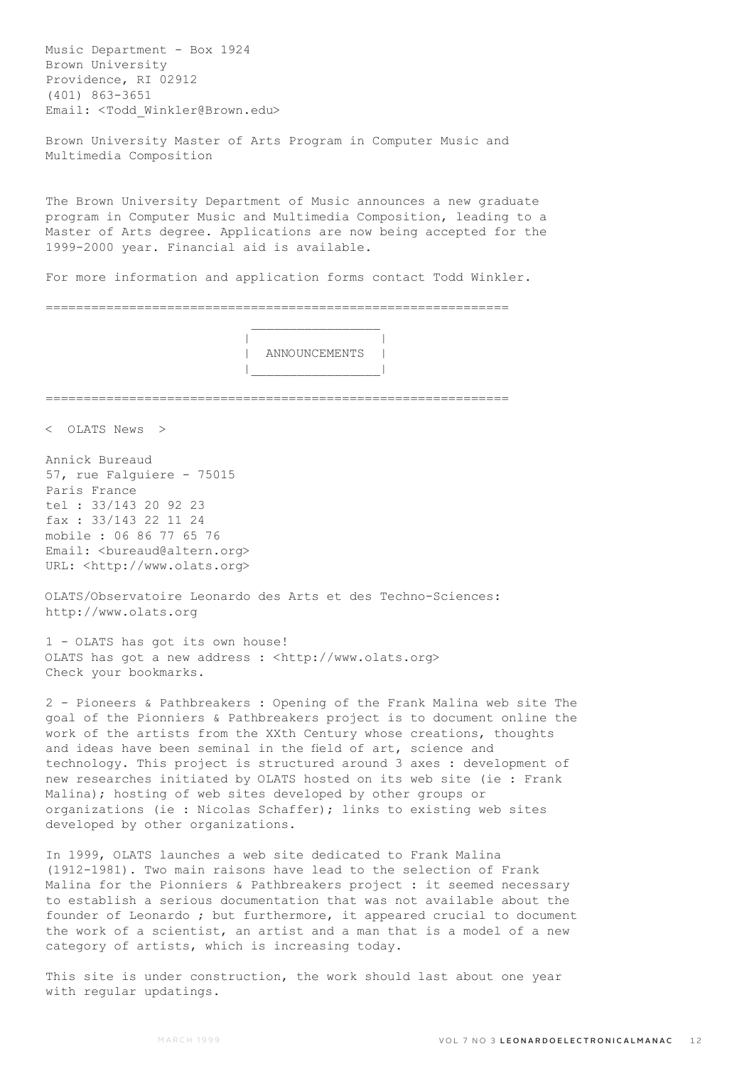Music Department - Box 1924 Brown University Providence, RI 02912 (401) 863-3651 Email: <Todd\_Winkler@Brown.edu>

Brown University Master of Arts Program in Computer Music and Multimedia Composition

The Brown University Department of Music announces a new graduate program in Computer Music and Multimedia Composition, leading to a Master of Arts degree. Applications are now being accepted for the 1999-2000 year. Financial aid is available.

For more information and application forms contact Todd Winkler.

=============================================================

 $\mathcal{L}_\text{max}$  and  $\mathcal{L}_\text{max}$  and  $\mathcal{L}_\text{max}$  and  $\mathcal{L}_\text{max}$ 

 | | | ANNOUNCEMENTS | |\_\_\_\_\_\_\_\_\_\_\_\_\_\_\_\_\_|

=============================================================

< OLATS News >

Annick Bureaud 57, rue Falguiere - 75015 Paris France tel : 33/143 20 92 23 fax : 33/143 22 11 24 mobile : 06 86 77 65 76 Email: <br/> <br/>
kond@altern.org> URL: <http://www.olats.org>

OLATS/Observatoire Leonardo des Arts et des Techno-Sciences: http://www.olats.org

1 - OLATS has got its own house! OLATS has got a new address : <http://www.olats.org> Check your bookmarks.

2 - Pioneers & Pathbreakers : Opening of the Frank Malina web site The goal of the Pionniers & Pathbreakers project is to document online the work of the artists from the XXth Century whose creations, thoughts and ideas have been seminal in the field of art, science and technology. This project is structured around 3 axes : development of new researches initiated by OLATS hosted on its web site (ie : Frank Malina); hosting of web sites developed by other groups or organizations (ie : Nicolas Schaffer); links to existing web sites developed by other organizations.

In 1999, OLATS launches a web site dedicated to Frank Malina (1912-1981). Two main raisons have lead to the selection of Frank Malina for the Pionniers & Pathbreakers project : it seemed necessary to establish a serious documentation that was not available about the founder of Leonardo ; but furthermore, it appeared crucial to document the work of a scientist, an artist and a man that is a model of a new category of artists, which is increasing today.

This site is under construction, the work should last about one year with regular updatings.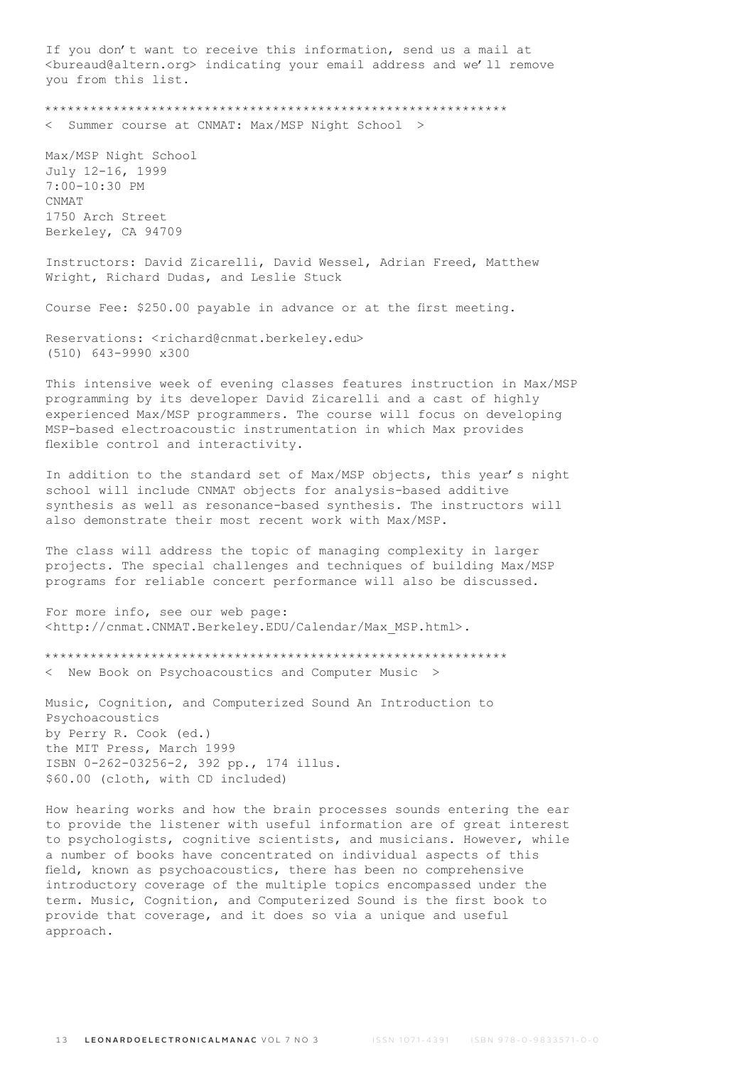If you don't want to receive this information, send us a mail at <bureaud@altern.org> indicating your email address and we'll remove you from this list.

\*\*\*\*\*\*\*\*\*\*\*\*\*\*\*\*\*\*\*\*\*\*\*\*\*\*\*\*\*\*\*\*\*\*\*\*\*\*\*\*\*\*\*\*\*\*\*\*\*\*\*\*\*\*\*\*\*\*\*\*\*

Summer course at CNMAT: Max/MSP Night School >

Max/MSP Night School July 12-16, 1999 7:00-10:30 PM CNMAT<sub>1</sub> 1750 Arch Street Berkeley, CA 94709

Instructors: David Zicarelli, David Wessel, Adrian Freed, Matthew Wright, Richard Dudas, and Leslie Stuck

Course Fee: \$250.00 payable in advance or at the first meeting.

Reservations: <richard@cnmat.berkeley.edu> (510) 643-9990 x300

This intensive week of evening classes features instruction in Max/MSP programming by its developer David Zicarelli and a cast of highly experienced Max/MSP programmers. The course will focus on developing MSP-based electroacoustic instrumentation in which Max provides flexible control and interactivity.

In addition to the standard set of Max/MSP objects, this year's night school will include CNMAT objects for analysis-based additive synthesis as well as resonance-based synthesis. The instructors will also demonstrate their most recent work with Max/MSP.

The class will address the topic of managing complexity in larger projects. The special challenges and techniques of building Max/MSP programs for reliable concert performance will also be discussed.

For more info, see our web page: <http://cnmat.CNMAT.Berkeley.EDU/Calendar/Max\_MSP.html>.

\*\*\*\*\*\*\*\*\*\*\*\*\*\*\*\*\*\*\*\*\*\*\*\*\*\*\*\*\*\*\*\*\*\*\*\*\*\*\*\*\*\*\*\*\*\*\*\*\*\*\*\*\*\*\*\*\*\*\*\*\*

< New Book on Psychoacoustics and Computer Music >

Music, Cognition, and Computerized Sound An Introduction to Psychoacoustics by Perry R. Cook (ed.) the MIT Press, March 1999 ISBN 0-262-03256-2, 392 pp., 174 illus. \$60.00 (cloth, with CD included)

How hearing works and how the brain processes sounds entering the ear to provide the listener with useful information are of great interest to psychologists, cognitive scientists, and musicians. However, while a number of books have concentrated on individual aspects of this field, known as psychoacoustics, there has been no comprehensive introductory coverage of the multiple topics encompassed under the term. Music, Cognition, and Computerized Sound is the first book to provide that coverage, and it does so via a unique and useful approach.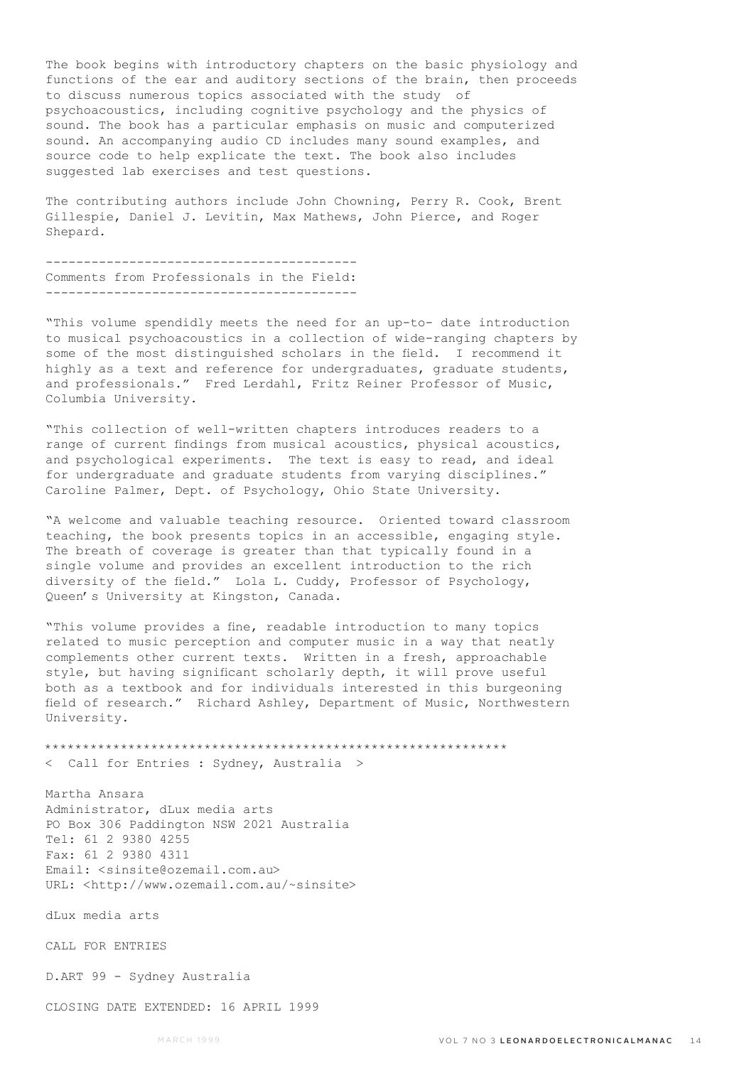The book begins with introductory chapters on the basic physiology and functions of the ear and auditory sections of the brain, then proceeds to discuss numerous topics associated with the study of psychoacoustics, including cognitive psychology and the physics of sound. The book has a particular emphasis on music and computerized sound. An accompanying audio CD includes many sound examples, and source code to help explicate the text. The book also includes suggested lab exercises and test questions.

The contributing authors include John Chowning, Perry R. Cook, Brent Gillespie, Daniel J. Levitin, Max Mathews, John Pierce, and Roger Shepard.

----------------------------------------- Comments from Professionals in the Field: -----------------------------------------

"This volume spendidly meets the need for an up-to- date introduction to musical psychoacoustics in a collection of wide-ranging chapters by some of the most distinguished scholars in the field. I recommend it highly as a text and reference for undergraduates, graduate students, and professionals." Fred Lerdahl, Fritz Reiner Professor of Music, Columbia University.

"This collection of well-written chapters introduces readers to a range of current findings from musical acoustics, physical acoustics, and psychological experiments. The text is easy to read, and ideal for undergraduate and graduate students from varying disciplines." Caroline Palmer, Dept. of Psychology, Ohio State University.

"A welcome and valuable teaching resource. Oriented toward classroom teaching, the book presents topics in an accessible, engaging style. The breath of coverage is greater than that typically found in a single volume and provides an excellent introduction to the rich diversity of the field." Lola L. Cuddy, Professor of Psychology, Queen's University at Kingston, Canada.

"This volume provides a fine, readable introduction to many topics related to music perception and computer music in a way that neatly complements other current texts. Written in a fresh, approachable style, but having significant scholarly depth, it will prove useful both as a textbook and for individuals interested in this burgeoning field of research." Richard Ashley, Department of Music, Northwestern University.

\*\*\*\*\*\*\*\*\*\*\*\*\*\*\*\*\*\*\*\*\*\*\*\*\*\*\*\*\*\*\*\*\*\*\*\*\*\*\*\*\*\*\*\*\*\*\*\*\*\*\*\*\*\*\*\*\*\*\*\*\* < Call for Entries : Sydney, Australia >

Martha Ansara Administrator, dLux media arts PO Box 306 Paddington NSW 2021 Australia Tel: 61 2 9380 4255 Fax: 61 2 9380 4311 Email: <sinsite@ozemail.com.au> URL: <http://www.ozemail.com.au/~sinsite>

dLux media arts

CALL FOR ENTRIES

D.ART 99 - Sydney Australia

CLOSING DATE EXTENDED: 16 APRIL 1999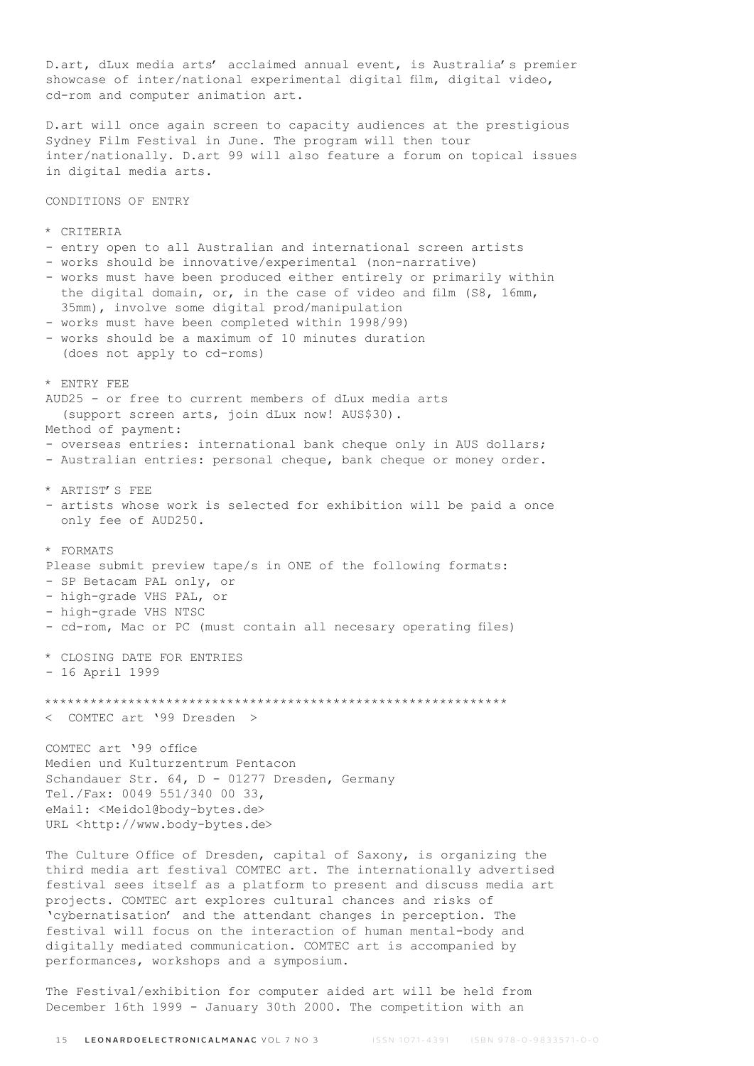D.art, dLux media arts' acclaimed annual event, is Australia's premier showcase of inter/national experimental digital film, digital video, cd-rom and computer animation art. D.art will once again screen to capacity audiences at the prestigious Sydney Film Festival in June. The program will then tour inter/nationally. D.art 99 will also feature a forum on topical issues in digital media arts. CONDITIONS OF ENTRY \* CRITERIA - entry open to all Australian and international screen artists - works should be innovative/experimental (non-narrative) - works must have been produced either entirely or primarily within the digital domain, or, in the case of video and film (S8, 16mm, 35mm), involve some digital prod/manipulation - works must have been completed within 1998/99) - works should be a maximum of 10 minutes duration (does not apply to cd-roms) \* ENTRY FEE AUD25 - or free to current members of dLux media arts (support screen arts, join dLux now! AUS\$30). Method of payment: - overseas entries: international bank cheque only in AUS dollars; - Australian entries: personal cheque, bank cheque or money order. \* ARTIST'S FEE - artists whose work is selected for exhibition will be paid a once only fee of AUD250. \* FORMATS Please submit preview tape/s in ONE of the following formats: - SP Betacam PAL only, or - high-grade VHS PAL, or - high-grade VHS NTSC - cd-rom, Mac or PC (must contain all necesary operating files) \* CLOSING DATE FOR ENTRIES - 16 April 1999 \*\*\*\*\*\*\*\*\*\*\*\*\*\*\*\*\*\*\*\*\*\*\*\*\*\*\*\*\*\*\*\*\*\*\*\*\*\*\*\*\*\*\*\*\*\*\*\*\*\*\*\*\*\*\*\*\*\*\*\*\* < COMTEC art '99 Dresden > COMTEC art '99 office Medien und Kulturzentrum Pentacon Schandauer Str. 64, D - 01277 Dresden, Germany Tel./Fax: 0049 551/340 00 33, eMail: <Meidol@body-bytes.de> URL <http://www.body-bytes.de> The Culture Office of Dresden, capital of Saxony, is organizing the

third media art festival COMTEC art. The internationally advertised festival sees itself as a platform to present and discuss media art projects. COMTEC art explores cultural chances and risks of 'cybernatisation' and the attendant changes in perception. The festival will focus on the interaction of human mental-body and digitally mediated communication. COMTEC art is accompanied by performances, workshops and a symposium.

The Festival/exhibition for computer aided art will be held from December 16th 1999 - January 30th 2000. The competition with an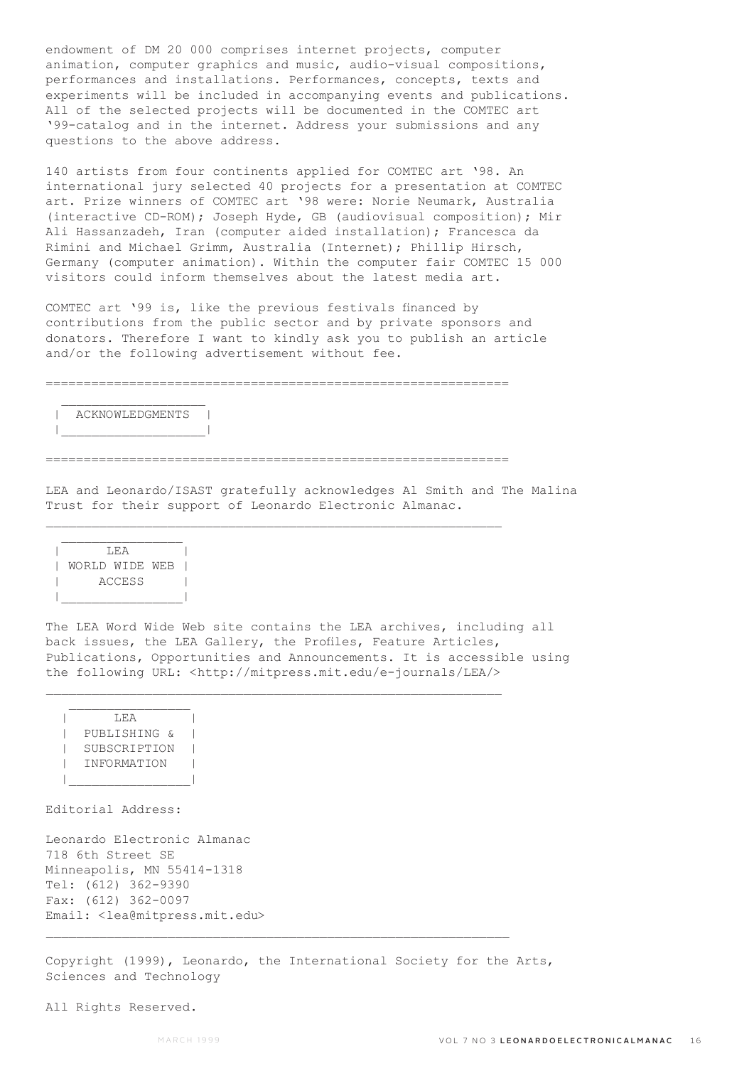endowment of DM 20 000 comprises internet projects, computer animation, computer graphics and music, audio-visual compositions, performances and installations. Performances, concepts, texts and experiments will be included in accompanying events and publications. All of the selected projects will be documented in the COMTEC art '99-catalog and in the internet. Address your submissions and any questions to the above address.

140 artists from four continents applied for COMTEC art '98. An international jury selected 40 projects for a presentation at COMTEC art. Prize winners of COMTEC art '98 were: Norie Neumark, Australia (interactive CD-ROM); Joseph Hyde, GB (audiovisual composition); Mir Ali Hassanzadeh, Iran (computer aided installation); Francesca da Rimini and Michael Grimm, Australia (Internet); Phillip Hirsch, Germany (computer animation). Within the computer fair COMTEC 15 000 visitors could inform themselves about the latest media art.

COMTEC art '99 is, like the previous festivals financed by contributions from the public sector and by private sponsors and donators. Therefore I want to kindly ask you to publish an article and/or the following advertisement without fee.

=============================================================

## $\mathcal{L}_\text{max}$ | ACKNOWLEDGMENTS | |\_\_\_\_\_\_\_\_\_\_\_\_\_\_\_\_\_\_\_|

=============================================================

 $\mathcal{L}_\text{max}$ 

 $\mathcal{L}_\text{max}$ 

LEA and Leonardo/ISAST gratefully acknowledges Al Smith and The Malina Trust for their support of Leonardo Electronic Almanac.

| T.F.A          |  |  |  |
|----------------|--|--|--|
| WORLD WIDE WEB |  |  |  |
| ACCESS         |  |  |  |
|                |  |  |  |

The LEA Word Wide Web site contains the LEA archives, including all back issues, the LEA Gallery, the Profiles, Feature Articles, Publications, Opportunities and Announcements. It is accessible using the following URL: <http://mitpress.mit.edu/e-journals/LEA/>

 $\mathcal{L}_\text{max}$  | LEA | | PUBLISHING & | | SUBSCRIPTION | | INFORMATION | |\_\_\_\_\_\_\_\_\_\_\_\_\_\_\_\_|

Editorial Address:

Leonardo Electronic Almanac 718 6th Street SE Minneapolis, MN 55414-1318 Tel: (612) 362-9390 Fax: (612) 362-0097 Email: <lea@mitpress.mit.edu>

Copyright (1999), Leonardo, the International Society for the Arts, Sciences and Technology